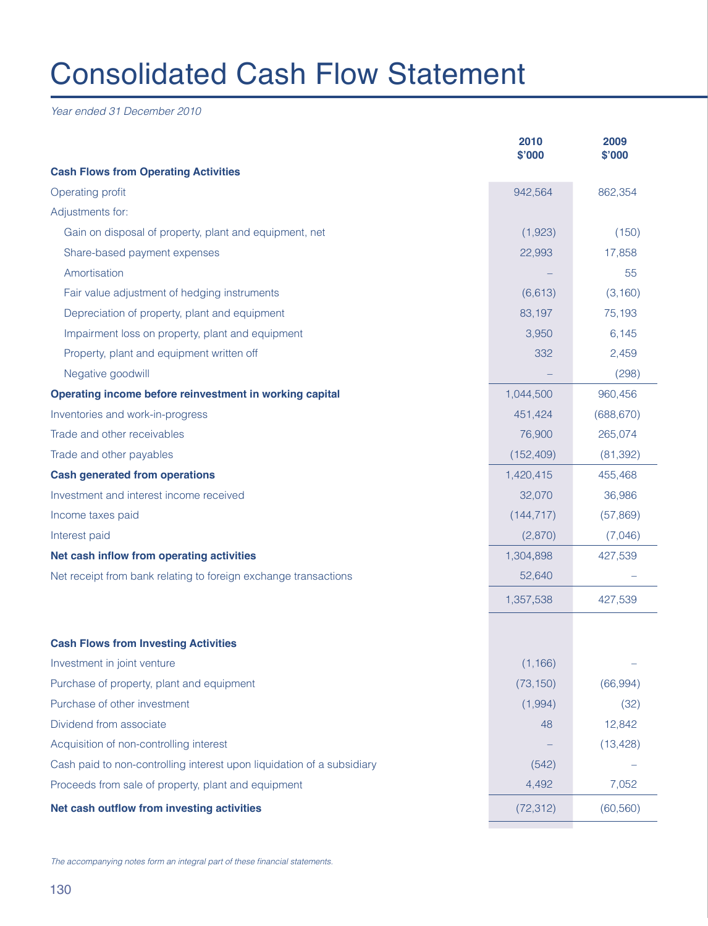## Consolidated Cash Flow Statement

Year ended 31 December 2010

|                                                                        | 2010<br>\$'000 | 2009<br>\$'000 |
|------------------------------------------------------------------------|----------------|----------------|
| <b>Cash Flows from Operating Activities</b>                            |                |                |
| Operating profit                                                       | 942,564        | 862,354        |
| Adjustments for:                                                       |                |                |
| Gain on disposal of property, plant and equipment, net                 | (1,923)        | (150)          |
| Share-based payment expenses                                           | 22,993         | 17,858         |
| Amortisation                                                           |                | 55             |
| Fair value adjustment of hedging instruments                           | (6, 613)       | (3, 160)       |
| Depreciation of property, plant and equipment                          | 83,197         | 75,193         |
| Impairment loss on property, plant and equipment                       | 3,950          | 6,145          |
| Property, plant and equipment written off                              | 332            | 2,459          |
| Negative goodwill                                                      |                | (298)          |
| Operating income before reinvestment in working capital                | 1,044,500      | 960,456        |
| Inventories and work-in-progress                                       | 451,424        | (688, 670)     |
| Trade and other receivables                                            | 76,900         | 265,074        |
| Trade and other payables                                               | (152, 409)     | (81, 392)      |
| <b>Cash generated from operations</b>                                  | 1,420,415      | 455,468        |
| Investment and interest income received                                | 32,070         | 36,986         |
| Income taxes paid                                                      | (144, 717)     | (57,869)       |
| Interest paid                                                          | (2,870)        | (7,046)        |
| Net cash inflow from operating activities                              | 1,304,898      | 427,539        |
| Net receipt from bank relating to foreign exchange transactions        | 52,640         |                |
|                                                                        | 1,357,538      | 427,539        |
| <b>Cash Flows from Investing Activities</b>                            |                |                |
| Investment in joint venture                                            | (1, 166)       |                |
| Purchase of property, plant and equipment                              | (73, 150)      | (66, 994)      |
| Purchase of other investment                                           | (1,994)        | (32)           |
| Dividend from associate                                                | 48             | 12,842         |
| Acquisition of non-controlling interest                                |                | (13, 428)      |
| Cash paid to non-controlling interest upon liquidation of a subsidiary | (542)          |                |
| Proceeds from sale of property, plant and equipment                    | 4,492          | 7,052          |
| Net cash outflow from investing activities                             | (72, 312)      | (60, 560)      |

The accompanying notes form an integral part of these financial statements.